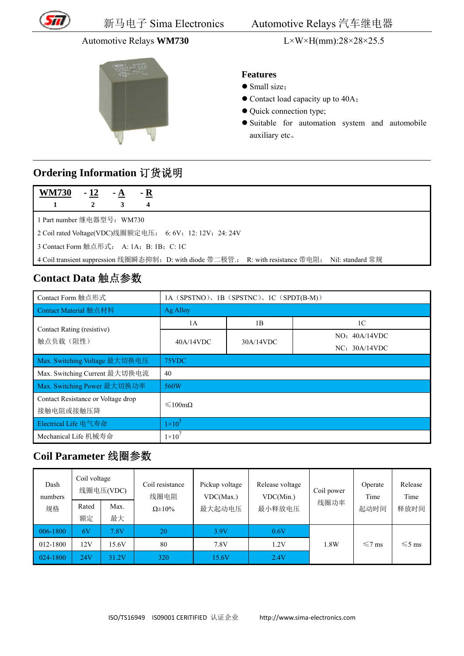

#### **Automotive Relays WM730**



 $L \times W \times H(mm): 28 \times 28 \times 25.5$ 

#### **Features**

- Small size:
- Contact load capacity up to 40A;
- Quick connection type;
- · Suitable for automation system and automobile auxiliary etc.

## Ordering Information 订货说明

| 72A |  | -- |  |
|-----|--|----|--|
|     |  |    |  |

1 Part number 继电器型号: WM730

2 Coil rated Voltage(VDC)线圈额定电压: 6:6V; 12:12V; 24:24V

3 Contact Form 触点形式: A: 1A; B: 1B; C: 1C

4 Coil transient suppression 线圈瞬态抑制: D: with diode 带二极管: R: with resistance 带电阻; Nil: standard 常规

## Contact Data 触点参数

| Contact Form 触点形式                  | 1A (SPSTNO), 1B (SPSTNC), 1C (SPDT(B-M)) |           |                |  |  |
|------------------------------------|------------------------------------------|-----------|----------------|--|--|
| Contact Material 触点材料              | Ag Alloy                                 |           |                |  |  |
| Contact Rating (resistive)         | 1A                                       | 1B        | 1 <sup>C</sup> |  |  |
| 触点负载(阻性)                           | 40A/14VDC                                | 30A/14VDC | NO: 40A/14VDC  |  |  |
|                                    |                                          |           | NC: 30A/14VDC  |  |  |
| Max. Switching Voltage 最大切换电压      | 75VDC                                    |           |                |  |  |
| Max. Switching Current 最大切换电流      | 40                                       |           |                |  |  |
| Max. Switching Power 最大切换功率        | 560W                                     |           |                |  |  |
| Contact Resistance or Voltage drop | $\leq 100 \text{m}\Omega$                |           |                |  |  |
| 接触电阻或接触压降                          |                                          |           |                |  |  |
| Electrical Life 电气寿命               | $1\times10^5$                            |           |                |  |  |
| Mechanical Life 机械寿命               | $1\times10'$                             |           |                |  |  |

### Coil Parameter 线圈参数

| Dash<br>numbers | Coil voltage | 线圈电压(VDC) | Coil resistance<br>线圈电阻 | Pickup voltage<br>VDC(Max.) | Release voltage<br>VDC(Min.) | Coil power | Operate<br>Time | Release<br>Time |
|-----------------|--------------|-----------|-------------------------|-----------------------------|------------------------------|------------|-----------------|-----------------|
| 规格              | Rated        | Max.      | $\Omega \pm 10\%$       | 最大起动电压                      | 最小释放电压                       | 线圈功率       | 起动时间            | 释放时间            |
|                 | 额定           | 最大        |                         |                             |                              |            |                 |                 |
| 006-1800        | 6V           | 7.8V      | 20                      | 3.9V                        | 0.6V                         |            |                 |                 |
| 012-1800        | 12V          | 15.6V     | 80                      | 7.8V                        | 1.2V                         | 1.8W       | $\leq 7$ ms     | $\leq 5$ ms     |
| 024-1800        | 24V          | 31.2V     | 320                     | 15.6V                       | 2.4V                         |            |                 |                 |